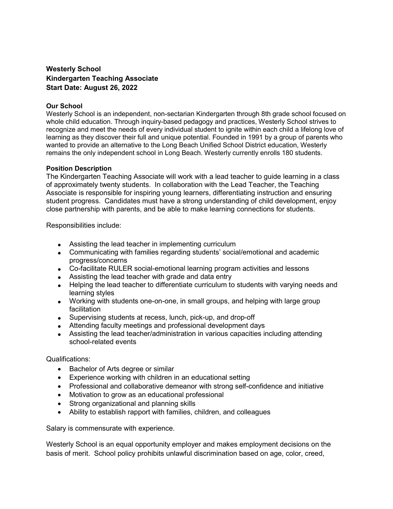## Westerly School Kindergarten Teaching Associate Start Date: August 26, 2022

## Our School

Westerly School is an independent, non-sectarian Kindergarten through 8th grade school focused on whole child education. Through inquiry-based pedagogy and practices, Westerly School strives to recognize and meet the needs of every individual student to ignite within each child a lifelong love of learning as they discover their full and unique potential. Founded in 1991 by a group of parents who wanted to provide an alternative to the Long Beach Unified School District education, Westerly remains the only independent school in Long Beach. Westerly currently enrolls 180 students.

## Position Description

The Kindergarten Teaching Associate will work with a lead teacher to guide learning in a class of approximately twenty students. In collaboration with the Lead Teacher, the Teaching Associate is responsible for inspiring young learners, differentiating instruction and ensuring student progress. Candidates must have a strong understanding of child development, enjoy close partnership with parents, and be able to make learning connections for students.

Responsibilities include:

- Assisting the lead teacher in implementing curriculum
- Communicating with families regarding students' social/emotional and academic progress/concerns
- Co-facilitate RULER social-emotional learning program activities and lessons
- Assisting the lead teacher with grade and data entry
- Helping the lead teacher to differentiate curriculum to students with varying needs and learning styles
- Working with students one-on-one, in small groups, and helping with large group facilitation
- Supervising students at recess, lunch, pick-up, and drop-off
- Attending faculty meetings and professional development days
- Assisting the lead teacher/administration in various capacities including attending school-related events

## Qualifications:

- Bachelor of Arts degree or similar
- Experience working with children in an educational setting
- Professional and collaborative demeanor with strong self-confidence and initiative
- Motivation to grow as an educational professional
- Strong organizational and planning skills
- Ability to establish rapport with families, children, and colleagues

Salary is commensurate with experience.

Westerly School is an equal opportunity employer and makes employment decisions on the basis of merit. School policy prohibits unlawful discrimination based on age, color, creed,